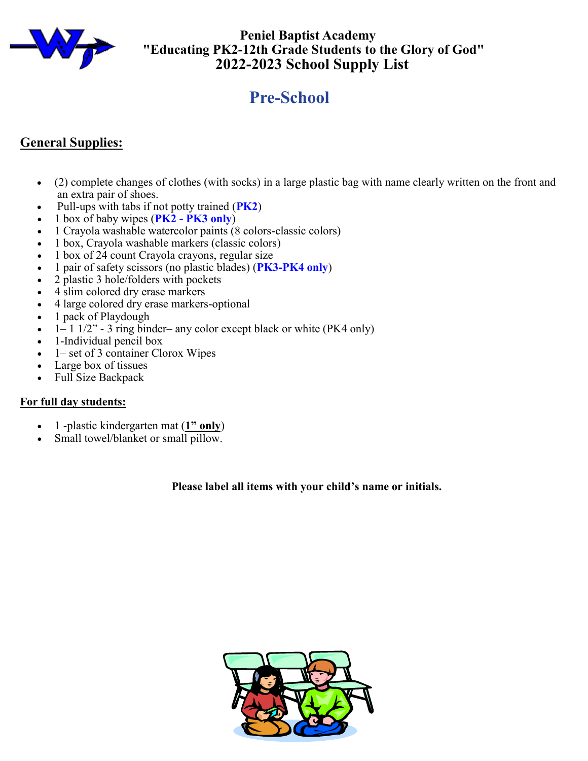

 **Peniel Baptist Academy "Educating PK2-12th Grade Students to the Glory of God" 2022-2023 School Supply List**

# **Pre-School**

## **General Supplies:**

- (2) complete changes of clothes (with socks) in a large plastic bag with name clearly written on the front and an extra pair of shoes.
- Pull-ups with tabs if not potty trained (**PK2**)
- 1 box of baby wipes (**PK2 - PK3 only**)
- 1 Crayola washable watercolor paints (8 colors-classic colors)
- 1 box, Crayola washable markers (classic colors)
- 1 box of 24 count Crayola crayons, regular size
- 1 pair of safety scissors (no plastic blades) (**PK3-PK4 only**)
- 2 plastic 3 hole/folders with pockets
- 4 slim colored dry erase markers
- 4 large colored dry erase markers-optional
- 1 pack of Playdough
- $1-1$   $1/2$ " 3 ring binder– any color except black or white (PK4 only)
- 1-Individual pencil box
- 1– set of 3 container Clorox Wipes
- Large box of tissues
- Full Size Backpack

#### **For full day students:**

- 1 -plastic kindergarten mat (**1" only**)
- Small towel/blanket or small pillow.

#### **Please label all items with your child's name or initials.**

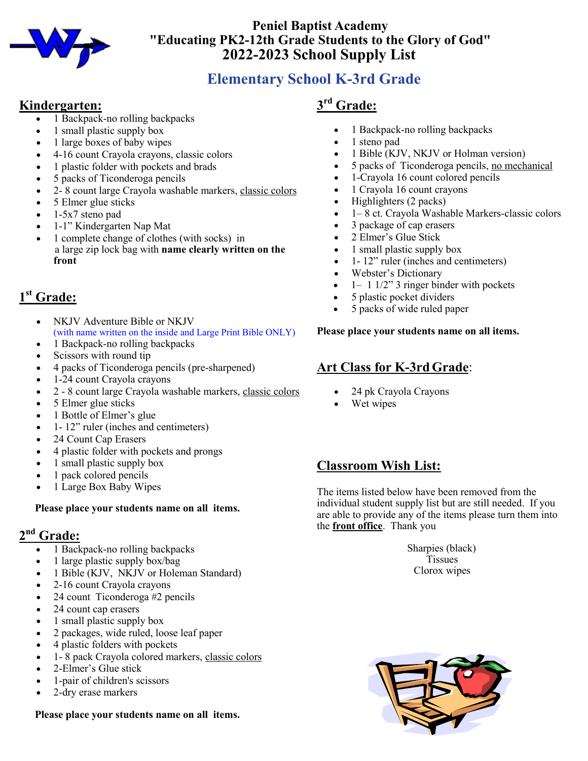

## **Peniel Baptist Academy "Educating PK2-12th Grade Students to the Glory of God"** **2022-2023 School Supply List**

## **Elementary School K-3rd Grade**

### **Kindergarten:**

- •1 Backpack-no rolling backpacks
- 1 small plastic supply box
- 1 large boxes of baby wipes
- 4-16 count Crayola crayons, classic colors
- 1 plastic folder with pockets and brads
- 5 packs of Ticonderoga pencils
- 2- 8 count large Crayola washable markers, classic colors
- 5 Elmer glue sticks
- 1-5x7 steno pad
- 1-1" Kindergarten Nap Mat
- 1 complete change of clothes (with socks) in a large zip lock bag with **name clearly written on the front**

## **1 st Grade:**

- NKJV Adventure Bible or NKJV (with name written on the inside and Large Print Bible ONLY)
- 1 Backpack-no rolling backpacks
- Scissors with round tip
- 4 packs of Ticonderoga pencils (pre-sharpened)
- 1-24 count Crayola crayons
- 2 8 count large Crayola washable markers, classic colors
- 5 Elmer glue sticks
- 1 Bottle of Elmer's glue
- 1- 12" ruler (inches and centimeters)
- 24 Count Cap Erasers
- 4 plastic folder with pockets and prongs
- 1 small plastic supply box
- 1 pack colored pencils
- 1 Large Box Baby Wipes

#### **Please place your students name on all items.**

## **2 nd Grade:**

- 1 Backpack-no rolling backpacks
- 1 large plastic supply box/bag
- 1 Bible (KJV, NKJV or Holeman Standard)
- 2-16 count Crayola crayons
- 24 count Ticonderoga #2 pencils
- 24 count cap erasers
- 1 small plastic supply box
- 2 packages, wide ruled, loose leaf paper
- 4 plastic folders with pockets
- 1- 8 pack Crayola colored markers, classic colors
- 2-Elmer's Glue stick
- 1-pair of children's scissors
- 2-dry erase markers

#### **Please place your students name on all items.**

## **3 rd Grade:**

- 1 Backpack-no rolling backpacks
- 1 steno pad
- 1 Bible (KJV, NKJV or Holman version)
- 5 packs of Ticonderoga pencils, no mechanical
- 1-Crayola 16 count colored pencils
- 1 Crayola 16 count crayons
- Highlighters (2 packs)
- 1– 8 ct. Crayola Washable Markers-classic colors
- 3 package of cap erasers
- 2 Elmer's Glue Stick
- 1 small plastic supply box
- 1- 12" ruler (inches and centimeters)
- Webster's Dictionary
- $1-1$   $1/2$ " 3 ringer binder with pockets
- 5 plastic pocket dividers
- 5 packs of wide ruled paper

#### **Please place your students name on all items.**

## **Art Class for K-3rdGrade**:

- 24 pk Crayola Crayons
- Wet wipes

## **Classroom Wish List:**

The items listed below have been removed from the individual student supply list but are still needed. If you are able to provide any of the items please turn them into the **front office**. Thank you

> Sharpies (black) Tissues Clorox wipes

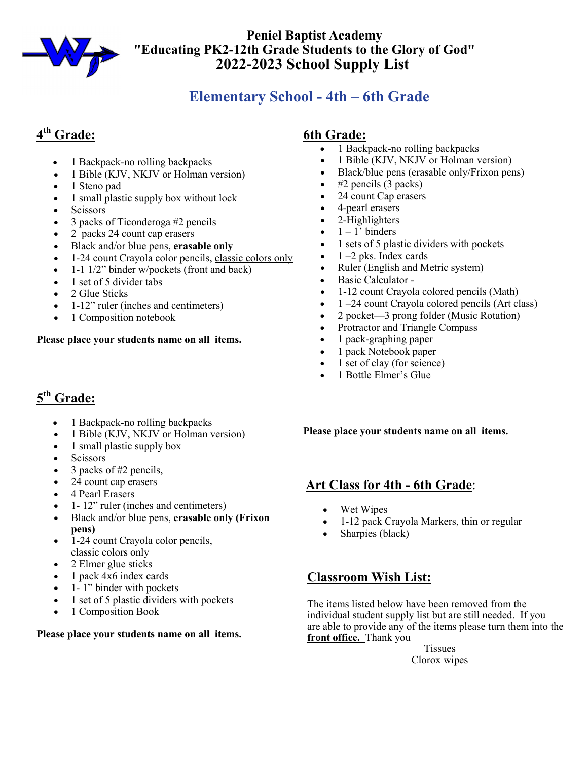

### **Peniel Baptist Academy "Educating PK2-12th Grade Students to the Glory of God"** **2022-2023 School Supply List**

## **Elementary School - 4th – 6th Grade**

## **4 th Grade:**

- 1 Backpack-no rolling backpacks
- 1 Bible (KJV, NKJV or Holman version)
- 1 Steno pad
- 1 small plastic supply box without lock
- Scissors
- 3 packs of Ticonderoga #2 pencils
- 2 packs 24 count cap erasers
- Black and/or blue pens, **erasable only**
- 1-24 count Crayola color pencils, classic colors only
- 1-1 1/2" binder w/pockets (front and back)
- 1 set of 5 divider tabs
- 2 Glue Sticks
- 1-12" ruler (inches and centimeters)
- 1 Composition notebook

#### **Please place your students name on all items.**

## **5 th Grade:**

- 1 Backpack-no rolling backpacks
- 1 Bible (KJV, NKJV or Holman version)
- 1 small plastic supply box
- Scissors
- 3 packs of #2 pencils,
- 24 count cap erasers
- 4 Pearl Erasers
- 1- 12" ruler (inches and centimeters)
- Black and/or blue pens, **erasable only (Frixon pens)**
- 1-24 count Crayola color pencils, classic colors only
- 2 Elmer glue sticks
- 1 pack 4x6 index cards
- 1- 1" binder with pockets
- 1 set of 5 plastic dividers with pockets
- 1 Composition Book

#### **Please place your students name on all items.**

#### **6th Grade:**

- 1 Backpack-no rolling backpacks
- 1 Bible (KJV, NKJV or Holman version)
- Black/blue pens (erasable only/Frixon pens)
- $#2$  pencils  $(3$  packs)
- 24 count Cap erasers
- 4-pearl erasers
- 2-Highlighters
- $\bullet$  1 1' binders
- 1 sets of 5 plastic dividers with pockets
- $\bullet$  1 –2 pks. Index cards
- Ruler (English and Metric system)
- Basic Calculator -
- 1-12 count Crayola colored pencils (Math)
- $1 24$  count Crayola colored pencils (Art class)
- 2 pocket—3 prong folder (Music Rotation)
- Protractor and Triangle Compass
- 1 pack-graphing paper
- 1 pack Notebook paper
- 1 set of clay (for science)
- 1 Bottle Elmer's Glue

**Please place your students name on all items.**

### **Art Class for 4th - 6th Grade**:

- Wet Wipes
- 1-12 pack Crayola Markers, thin or regular
- Sharpies (black)

## **Classroom Wish List:**

The items listed below have been removed from the individual student supply list but are still needed. If you are able to provide any of the items please turn them into the **front office.** Thank you

Tissues Clorox wipes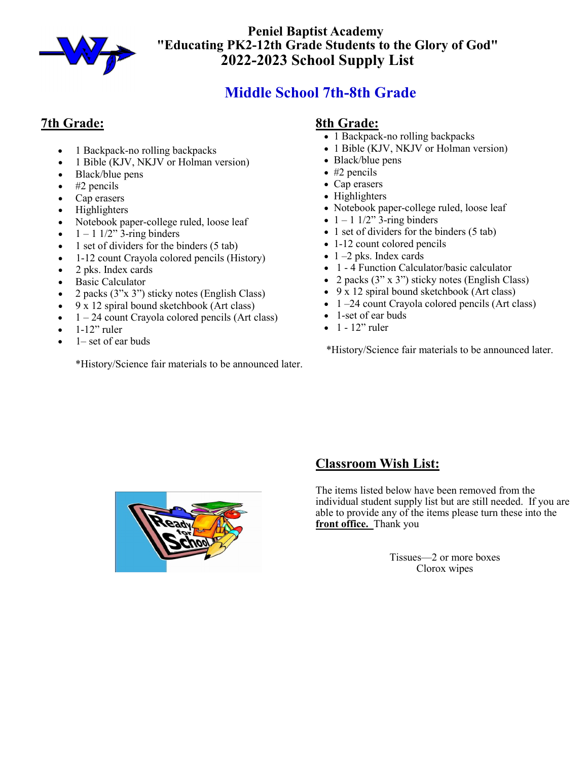

 **Peniel Baptist Academy "Educating PK2-12th Grade Students to the Glory of God" 2022-2023 School Supply List**

## **Middle School 7th-8th Grade**

## **7th Grade:**

- 1 Backpack-no rolling backpacks
- 1 Bible (KJV, NKJV or Holman version)
- Black/blue pens
- $\bullet$  #2 pencils
- Cap erasers
- Highlighters
- Notebook paper-college ruled, loose leaf
- $\bullet$  1 1 1/2"  $\overline{3}$ -ring binders
- $\bullet$  1 set of dividers for the binders (5 tab)
- 1-12 count Crayola colored pencils (History)
- 2 pks. Index cards
- Basic Calculator
- 2 packs (3"x 3") sticky notes (English Class)
- 9 x 12 spiral bound sketchbook (Art class)
- $\bullet$  1 24 count Crayola colored pencils (Art class)
- $\bullet$  1-12" ruler
- 1– set of ear buds

\*History/Science fair materials to be announced later.

#### **8th Grade:**

- 1 Backpack-no rolling backpacks
- 1 Bible (KJV, NKJV or Holman version)
- Black/blue pens
- #2 pencils
- Cap erasers
- Highlighters
- Notebook paper-college ruled, loose leaf
- $\bullet$  1 1 1/2"  $\overline{3}$ -ring binders
- 1 set of dividers for the binders (5 tab)
- 1-12 count colored pencils
- $\bullet$  1 –2 pks. Index cards
- 1 4 Function Calculator/basic calculator
- 2 packs (3" x 3") sticky notes (English Class)
- 9 x 12 spiral bound sketchbook (Art class)
- 1 –24 count Crayola colored pencils (Art class)
- 1-set of ear buds
- $\bullet$  1 12" ruler

\*History/Science fair materials to be announced later.



## **Classroom Wish List:**

The items listed below have been removed from the individual student supply list but are still needed. If you are able to provide any of the items please turn these into the **front office.** Thank you

> Tissues—2 or more boxes Clorox wipes